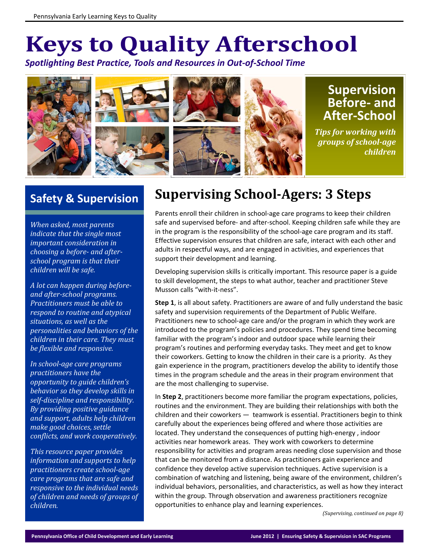# **Keys to Quality Afterschool**

*Spotlighting Best Practice, Tools and Resources in Out‐of‐School Time*



## **Safety & Supervision**

*When asked, most parents indicate that the single most important consideration in choosing a before‐ and after‐ school program is that their children will be safe.* 

*A lot can happen during before‐ and after‐school programs. Practitioners must be able to respond to routine and atypical situations, as well as the personalities and behaviors of the children in their care. They must be flexible and responsive.* 

*In school‐age care programs practitioners have the opportunity to guide children's behavior so they develop skills in self‐discipline and responsibility. By providing positive guidance and support, adults help children make good choices, settle conflicts, and work cooperatively.*

*This resource paper provides information and supports to help practitioners create school‐age care programs that are safe and responsive to the individual needs of children and needs of groups of children.*

# **Supervising School‐Agers: 3 Steps**

Parents enroll their children in school‐age care programs to keep their children safe and supervised before‐ and after‐school. Keeping children safe while they are in the program is the responsibility of the school-age care program and its staff. Effective supervision ensures that children are safe, interact with each other and adults in respectful ways, and are engaged in activities, and experiences that support their development and learning.

Developing supervision skills is critically important. This resource paper is a guide to skill development, the steps to what author, teacher and practitioner Steve Musson calls "with‐it‐ness".

**Step 1**, is all about safety. Practitioners are aware of and fully understand the basic safety and supervision requirements of the Department of Public Welfare. Practitioners new to school‐age care and/or the program in which they work are introduced to the program's policies and procedures. They spend time becoming familiar with the program's indoor and outdoor space while learning their program's routines and performing everyday tasks. They meet and get to know their coworkers. Getting to know the children in their care is a priority. As they gain experience in the program, practitioners develop the ability to identify those times in the program schedule and the areas in their program environment that are the most challenging to supervise.

In **Step 2**, practitioners become more familiar the program expectations, policies, routines and the environment. They are building their relationships with both the children and their coworkers — teamwork is essential. Practitioners begin to think carefully about the experiences being offered and where those activities are located. They understand the consequences of putting high‐energy , indoor activities near homework areas. They work with coworkers to determine responsibility for activities and program areas needing close supervision and those that can be monitored from a distance. As practitioners gain experience and confidence they develop active supervision techniques. Active supervision is a combination of watching and listening, being aware of the environment, children's individual behaviors, personalities, and characteristics, as well as how they interact within the group. Through observation and awareness practitioners recognize opportunities to enhance play and learning experiences.

*(Supervising, continued on page 8)*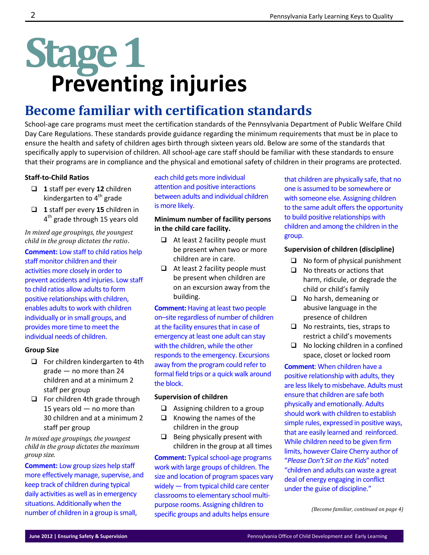# **Stage1 Preventing injuries**

## **Become familiar with certification standards**

School-age care programs must meet the certification standards of the Pennsylvania Department of Public Welfare Child Day Care Regulations. These standards provide guidance regarding the minimum requirements that must be in place to ensure the health and safety of children ages birth through sixteen years old. Below are some of the standards that specifically apply to supervision of children. All school‐age care staff should be familiar with these standards to ensure that their programs are in compliance and the physical and emotional safety of children in their programs are protected.

#### **Staff‐to‐Child Ratios**

- **1** staff per every **12** children kindergarten to 4<sup>th</sup> grade
- **1** staff per every **15** children in 4<sup>th</sup> grade through 15 years old

*In mixed age groupings, the youngest child in the group dictates the ratio*.

**Comment:** Low staff to child ratios help staff monitor children and their activities more closely in order to prevent accidents and injuries. Low staff to child ratios allow adults to form positive relationships with children, enables adults to work with children individually or in small groups, and provides more time to meet the individual needs of children.

#### **Group Size**

- $\Box$  For children kindergarten to 4th grade — no more than 24 children and at a minimum 2 staff per group
- $\Box$  For children 4th grade through 15 years old — no more than 30 children and at a minimum 2 staff per group

*In mixed age groupings, the youngest child in the group dictates the maximum group size.*

**Comment:** Low group sizes help staff more effectively manage, supervise, and keep track of children during typical daily activities as well as in emergency situations. Additionally when the number of children in a group is small,

#### each child gets more individual attention and positive interactions between adults and individual children is more likely.

#### **Minimum number of facility persons in the child care facility.**

- $\Box$  At least 2 facility people must be present when two or more children are in care.
- $\Box$  At least 2 facility people must be present when children are on an excursion away from the building.

**Comment:** Having at least two people on–site regardless of number of children at the facility ensures that in case of emergency at least one adult can stay with the children, while the other responds to the emergency. Excursions away from the program could refer to formal field trips or a quick walk around the block.

#### **Supervision of children**

- $\Box$  Assigning children to a group
- $\Box$  Knowing the names of the children in the group
- $\Box$  Being physically present with children in the group at all times

**Comment:** Typical school-age programs work with large groups of children. The size and location of program spaces vary widely — from typical child care center classrooms to elementary school multipurpose rooms. Assigning children to specific groups and adults helps ensure

that children are physically safe, that no one is assumed to be somewhere or with someone else. Assigning children to the same adult offers the opportunity to build positive relationships with children and among the children in the group.

#### **Supervision of children (discipline)**

- $\Box$  No form of physical punishment
- $\Box$  No threats or actions that harm, ridicule, or degrade the child or child's family
- □ No harsh, demeaning or abusive language in the presence of children
- $\Box$  No restraints, ties, straps to restrict a child's movements
- $\Box$  No locking children in a confined space, closet or locked room

**Comment**: When children have a positive relationship with adults, they are less likely to misbehave. Adults must ensure that children are safe both physically and emotionally. Adults should work with children to establish simple rules, expressed in positive ways, that are easily learned and reinforced. While children need to be given firm limits, however Claire Cherry author of "*Please Don't Sit on the Kids*" noted "children and adults can waste a great deal of energy engaging in conflict under the guise of discipline."

*(Become familiar, continued on page 4)*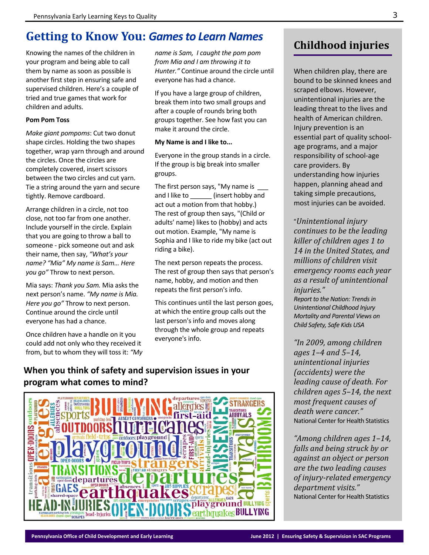## **Getting to Know You:** *Gamesto Learn Names*

Knowing the names of the children in your program and being able to call them by name as soon as possible is another first step in ensuring safe and supervised children. Here's a couple of tried and true games that work for children and adults.

#### **Pom Pom Toss**

*Make giant pompoms*: Cut two donut shape circles. Holding the two shapes together, wrap yarn through and around the circles. Once the circles are completely covered, insert scissors between the two circles and cut yarn. Tie a string around the yarn and secure tightly. Remove cardboard.

Arrange children in a circle, not too close, not too far from one another. Include yourself in the circle. Explain that you are going to throw a ball to someone ‐ pick someone out and ask their name, then say, *"What's your name? "Mia" My name is Sam… Here you go"* Throw to next person.

Mia says: *Thank you Sam.* Mia asks the next person's name. *"My name is Mia. Here you go"* Throw to next person. Continue around the circle until everyone has had a chance.

Once children have a handle on it you could add not only who they received it from, but to whom they will toss it: *"My* *name is Sam, I caught the pom pom from Mia and I am throwing it to Hunter."* Continue around the circle until everyone has had a chance.

If you have a large group of children, break them into two small groups and after a couple of rounds bring both groups together. See how fast you can make it around the circle.

#### **My Name is and I like to...**

Everyone in the group stands in a circle. If the group is big break into smaller groups.

The first person says, "My name is and I like to \_\_\_\_\_\_\_ (insert hobby and act out a motion from that hobby.) The rest of group then says, "(Child or adults' name) likes to (hobby) and acts out motion. Example, "My name is Sophia and I like to ride my bike (act out riding a bike).

The next person repeats the process. The rest of group then says that person's name, hobby, and motion and then repeats the first person's info.

This continues until the last person goes, at which the entire group calls out the last person's info and moves along through the whole group and repeats everyone's info.

#### **When you think of safety and supervision issues in your program what comes to mind?**



## **Childhood injuries**

When children play, there are bound to be skinned knees and scraped elbows. However, unintentional injuries are the leading threat to the lives and health of American children. Injury prevention is an essential part of quality school‐ age programs, and a major responsibility of school‐age care providers. By understanding how injuries happen, planning ahead and taking simple precautions, most injuries can be avoided.

"*Unintentional injury continues to be the leading killer of children ages 1 to 14 in the United States, and millions of children visit emergency rooms each year as a result of unintentional injuries."*

*Report to the Nation: Trendsin Unintentional Childhood Injury Mortality and Parental Views on Child Safety, Safe Kids USA*

*"In 2009, among children ages 1–4 and 5–14, unintentional injuries (accidents) were the leading cause of death. For children ages 5–14, the next most frequent causes of death were cancer."* National Center for Health Statistics

*"Among children ages 1–14, falls and being struck by or against an object or person are the two leading causes of injury‐related emergency department visits."* National Center for Health Statistics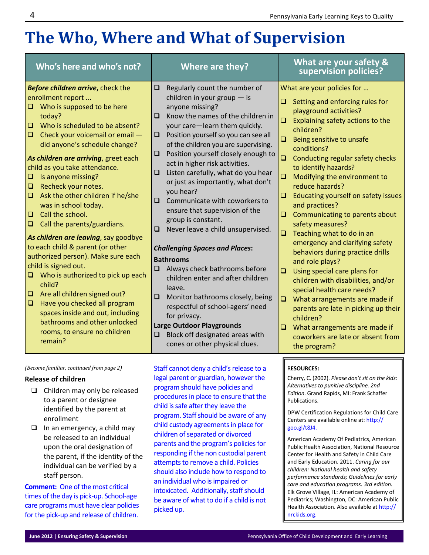# **The Who, Where and What of Supervision**

| Who's here and who's not?                                                                                                                                                                                                                                                                                                                                                                                                                                                                                                                                                                                                                                                                                                                                                                                                                                                                                                 | Where are they?                                                                                                                                                                                                                                                                                                                                                                                                                                                                                                                                                                                                                                                                                                                                                                                                                                                                                                                                                                 | What are your safety &<br>supervision policies?                                                                                                                                                                                                                                                                                                                                                                                                                                                                                                                                                                                                                                                                                                                                                                                                                                                                            |
|---------------------------------------------------------------------------------------------------------------------------------------------------------------------------------------------------------------------------------------------------------------------------------------------------------------------------------------------------------------------------------------------------------------------------------------------------------------------------------------------------------------------------------------------------------------------------------------------------------------------------------------------------------------------------------------------------------------------------------------------------------------------------------------------------------------------------------------------------------------------------------------------------------------------------|---------------------------------------------------------------------------------------------------------------------------------------------------------------------------------------------------------------------------------------------------------------------------------------------------------------------------------------------------------------------------------------------------------------------------------------------------------------------------------------------------------------------------------------------------------------------------------------------------------------------------------------------------------------------------------------------------------------------------------------------------------------------------------------------------------------------------------------------------------------------------------------------------------------------------------------------------------------------------------|----------------------------------------------------------------------------------------------------------------------------------------------------------------------------------------------------------------------------------------------------------------------------------------------------------------------------------------------------------------------------------------------------------------------------------------------------------------------------------------------------------------------------------------------------------------------------------------------------------------------------------------------------------------------------------------------------------------------------------------------------------------------------------------------------------------------------------------------------------------------------------------------------------------------------|
| Before children arrive, check the<br>enrollment report<br>$\Box$ Who is supposed to be here<br>today?<br>Who is scheduled to be absent?<br>$\Box$<br>Check your voicemail or email -<br>$\Box$<br>did anyone's schedule change?<br>As children are arriving, greet each<br>child as you take attendance.<br>Is anyone missing?<br>$\Box$<br>Recheck your notes.<br>$\Box$<br>Ask the other children if he/she<br>$\Box$<br>was in school today.<br>Call the school.<br>$\Box$<br>Call the parents/guardians.<br>$\Box$<br>As children are leaving, say goodbye<br>to each child & parent (or other<br>authorized person). Make sure each<br>child is signed out.<br>$\Box$ Who is authorized to pick up each<br>child?<br>Are all children signed out?<br>$\Box$<br>Have you checked all program<br>$\Box$<br>spaces inside and out, including<br>bathrooms and other unlocked<br>rooms, to ensure no children<br>remain? | Regularly count the number of<br>$\Box$<br>children in your group $-$ is<br>anyone missing?<br>Know the names of the children in<br>$\Box$<br>your care-learn them quickly.<br>Position yourself so you can see all<br>$\Box$<br>of the children you are supervising.<br>Position yourself closely enough to<br>$\Box$<br>act in higher risk activities.<br>Listen carefully, what do you hear<br>$\Box$<br>or just as importantly, what don't<br>you hear?<br>Communicate with coworkers to<br>$\Box$<br>ensure that supervision of the<br>group is constant.<br>Never leave a child unsupervised.<br>Q<br><b>Challenging Spaces and Places:</b><br><b>Bathrooms</b><br>Always check bathrooms before<br>$\Box$<br>children enter and after children<br>leave.<br>Monitor bathrooms closely, being<br>❏<br>respectful of school-agers' need<br>for privacy.<br><b>Large Outdoor Playgrounds</b><br>Block off designated areas with<br>$\Box$<br>cones or other physical clues. | What are your policies for<br>Setting and enforcing rules for<br>o.<br>playground activities?<br>Explaining safety actions to the<br>$\Box$<br>children?<br>Being sensitive to unsafe<br>$\Box$<br>conditions?<br>Ō.<br>Conducting regular safety checks<br>to identify hazards?<br>Modifying the environment to<br>$\Box$<br>reduce hazards?<br>Educating yourself on safety issues<br>Q<br>and practices?<br>Communicating to parents about<br>$\Box$<br>safety measures?<br>Teaching what to do in an<br>$\Box$<br>emergency and clarifying safety<br>behaviors during practice drills<br>and role plays?<br>Using special care plans for<br>$\Box$<br>children with disabilities, and/or<br>special health care needs?<br>$\Box$<br>What arrangements are made if<br>parents are late in picking up their<br>children?<br>What arrangements are made if<br>$\Box$<br>coworkers are late or absent from<br>the program? |
| (Become familiar, continued from page 2)                                                                                                                                                                                                                                                                                                                                                                                                                                                                                                                                                                                                                                                                                                                                                                                                                                                                                  | Staff cannot deny a child's release to a                                                                                                                                                                                                                                                                                                                                                                                                                                                                                                                                                                                                                                                                                                                                                                                                                                                                                                                                        | <b>RESOURCES:</b>                                                                                                                                                                                                                                                                                                                                                                                                                                                                                                                                                                                                                                                                                                                                                                                                                                                                                                          |

#### **Release of children**

- $\Box$  Children may only be released to a parent or designee identified by the parent at enrollment
- $\Box$  In an emergency, a child may be released to an individual upon the oral designation of the parent, if the identity of the individual can be verified by a staff person.

**Comment:** One of the most critical times of the day is pick‐up. School‐age care programs must have clear policies for the pick‐up and release of children.

legal parent or guardian, however the program should have policies and procedures in place to ensure that the child is safe after they leave the program. Staff should be aware of any child custody agreements in place for children of separated or divorced parents and the program's policies for responding if the non custodial parent attempts to remove a child. Policies should also include how to respond to an individual who is impaired or intoxicated. Additionally, staff should be aware of what to do if a child is not picked up.

Publications.

goo.gl/t8J4.

nrckids.org.

Cherry, C. (2002). *Please don't sit on the kids: Alternatives to punitive discipline. 2nd Edition*. Grand Rapids, MI: Frank Schaffer

DPW Certification Regulations for Child Care Centers are available online at: http://

American Academy Of Pediatrics, American Public Health Association, National Resource Center for Health and Safety in Child Care and Early Education. 2011. *Caring for our children: National health and safety performance standards; Guidelines for early care and education programs. 3rd edition.* Elk Grove Village, IL: American Academy of Pediatrics; Washington, DC: American Public Health Association. Also available at http://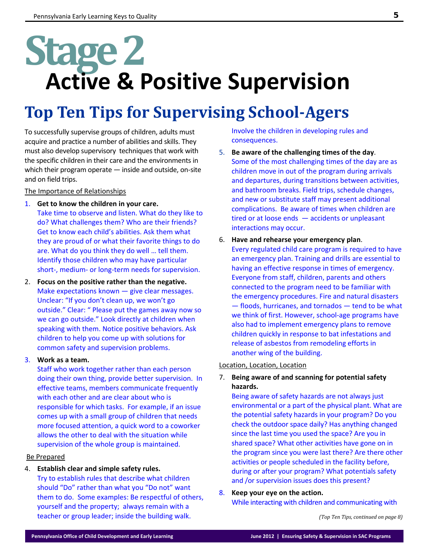# **Stage2 Active & Positive Supervision**

# **Top Ten Tips for Supervising School‐Agers**

To successfully supervise groups of children, adults must acquire and practice a number of abilities and skills. They must also develop supervisory techniques that work with the specific children in their care and the environments in which their program operate — inside and outside, on‐site and on field trips.

The Importance of Relationships

1. **Get to know the children in your care.** 

Take time to observe and listen. What do they like to do? What challenges them? Who are their friends? Get to know each child's abilities. Ask them what they are proud of or what their favorite things to do are. What do you think they do well … tell them. Identify those children who may have particular short-, medium- or long-term needs for supervision.

2. **Focus on the positive rather than the negative.**  Make expectations known — give clear messages. Unclear: "If you don't clean up, we won't go outside." Clear: " Please put the games away now so we can go outside." Look directly at children when speaking with them. Notice positive behaviors. Ask children to help you come up with solutions for common safety and supervision problems.

#### 3. **Work as a team.**

Staff who work together rather than each person doing their own thing, provide better supervision. In effective teams, members communicate frequently with each other and are clear about who is responsible for which tasks. For example, if an issue comes up with a small group of children that needs more focused attention, a quick word to a coworker allows the other to deal with the situation while supervision of the whole group is maintained.

#### Be Prepared

#### 4. **Establish clear and simple safety rules.**

Try to establish rules that describe what children should "Do" rather than what you "Do not" want them to do. Some examples: Be respectful of others, yourself and the property; always remain with a teacher or group leader; inside the building walk.

Involve the children in developing rules and consequences.

- 5. **Be aware of the challenging times of the day**. Some of the most challenging times of the day are as children move in out of the program during arrivals and departures, during transitions between activities, and bathroom breaks. Field trips, schedule changes, and new or substitute staff may present additional complications. Be aware of times when children are tired or at loose ends  $-$  accidents or unpleasant interactions may occur.
- 6. **Have and rehearse your emergency plan**. Every regulated child care program is required to have an emergency plan. Training and drills are essential to having an effective response in times of emergency. Everyone from staff, children, parents and others connected to the program need to be familiar with the emergency procedures. Fire and natural disasters — floods, hurricanes, and tornados — tend to be what we think of first. However, school‐age programs have also had to implement emergency plans to remove children quickly in response to bat infestations and release of asbestos from remodeling efforts in another wing of the building.

#### Location, Location, Location

#### 7. **Being aware of and scanning for potential safety hazards.**

Being aware of safety hazards are not always just environmental or a part of the physical plant. What are the potential safety hazards in your program? Do you check the outdoor space daily? Has anything changed since the last time you used the space? Are you in shared space? What other activities have gone on in the program since you were last there? Are there other activities or people scheduled in the facility before, during or after your program? What potentials safety and /or supervision issues does this present?

8. **Keep your eye on the action.** While interacting with children and communicating with

*(Top Ten Tips, continued on page 8)*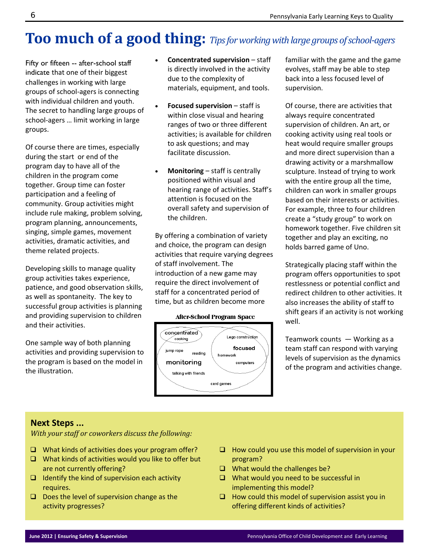## **Too much of a good thing:** *Tipsforworkingwith large groups ofschool‐agers*

Fifty or fifteen -- after-school staff indicate that one of their biggest challenges in working with large groups of school‐agers is connecting with individual children and youth. The secret to handling large groups of school‐agers … limit working in large groups.

Of course there are times, especially during the start or end of the program day to have all of the children in the program come together. Group time can foster participation and a feeling of community. Group activities might include rule making, problem solving, program planning, announcements, singing, simple games, movement activities, dramatic activities, and theme related projects.

Developing skills to manage quality group activities takes experience, patience, and good observation skills, as well as spontaneity. The key to successful group activities is planning and providing supervision to children and their activities.

One sample way of both planning activities and providing supervision to the program is based on the model in the illustration.

- **Concentrated supervision** staff is directly involved in the activity due to the complexity of materials, equipment, and tools.
- **Focused supervision** staff is within close visual and hearing ranges of two or three different activities; is available for children to ask questions; and may facilitate discussion.
- **Monitoring** staff is centrally positioned within visual and hearing range of activities. Staff's attention is focused on the overall safety and supervision of the children.

By offering a combination of variety and choice, the program can design activities that require varying degrees of staff involvement. The introduction of a new game may require the direct involvement of staff for a concentrated period of time, but as children become more

#### **After-School Program Space**



familiar with the game and the game evolves, staff may be able to step back into a less focused level of supervision.

Of course, there are activities that always require concentrated supervision of children. An art, or cooking activity using real tools or heat would require smaller groups and more direct supervision than a drawing activity or a marshmallow sculpture. Instead of trying to work with the entire group all the time, children can work in smaller groups based on their interests or activities. For example, three to four children create a "study group" to work on homework together. Five children sit together and play an exciting, no holds barred game of Uno.

Strategically placing staff within the program offers opportunities to spot restlessness or potential conflict and redirect children to other activities. It also increases the ability of staff to shift gears if an activity is not working well.

Teamwork counts  $-$  Working as a team staff can respond with varying levels of supervision as the dynamics of the program and activities change.

#### **Next Steps ...**

*With your staff or coworkers discuss the following:*

- $\Box$  What kinds of activities does your program offer?
- $\Box$  What kinds of activities would you like to offer but are not currently offering?
- $\Box$  Identify the kind of supervision each activity requires.
- $\Box$  Does the level of supervision change as the activity progresses?
- $\Box$  How could you use this model of supervision in your program?
- $\Box$  What would the challenges be?
- $\Box$  What would you need to be successful in implementing this model?
- $\Box$  How could this model of supervision assist you in offering different kinds of activities?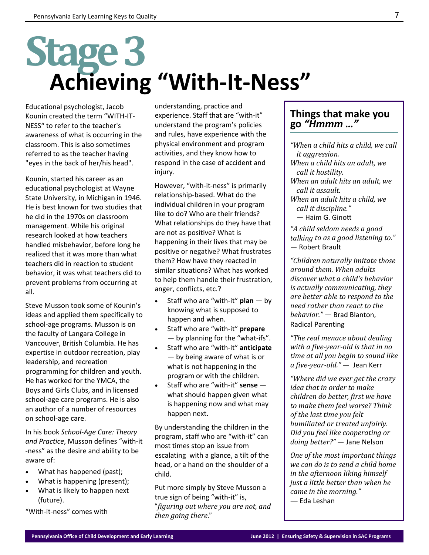# **Stage3**

# **Achieving "With‐It‐Ness"**

Educational psychologist, Jacob Kounin created the term "WITH‐IT‐ NESS" to refer to the teacher's awareness of what is occurring in the classroom. This is also sometimes referred to as the teacher having "eyes in the back of her/his head".

Kounin, started his career as an educational psychologist at Wayne State University, in Michigan in 1946. He is best known for two studies that he did in the 1970s on classroom management. While his original research looked at how teachers handled misbehavior, before long he realized that it was more than what teachers did in reaction to student behavior, it was what teachers did to prevent problems from occurring at all.

Steve Musson took some of Kounin's ideas and applied them specifically to school‐age programs. Musson is on the faculty of Langara College in Vancouver, British Columbia. He has expertise in outdoor recreation, play leadership, and recreation programming for children and youth. He has worked for the YMCA, the Boys and Girls Clubs, and in licensed school‐age care programs. He is also an author of a number of resources on school‐age care.

In his book *School‐Age Care: Theory and Practice*, Musson defines "with‐it ‐ness" as the desire and ability to be aware of:

- What has happened (past);
- What is happening (present);
- What is likely to happen next (future).

"With‐it‐ness" comes with

understanding, practice and experience. Staff that are "with‐it" understand the program's policies and rules, have experience with the physical environment and program activities, and they know how to respond in the case of accident and injury.

However, "with‐it‐ness" is primarily relationship‐based. What do the individual children in your program like to do? Who are their friends? What relationships do they have that are not as positive? What is happening in their lives that may be positive or negative? What frustrates them? How have they reacted in similar situations? What has worked to help them handle their frustration, anger, conflicts, etc.?

- Staff who are "with‐it" **plan** by knowing what is supposed to happen and when.
- Staff who are "with‐it" **prepare** — by planning for the "what‐ifs".
- Staff who are "with‐it" **anticipate** — by being aware of what is or what is not happening in the program or with the children.
- Staff who are "with‐it" **sense** what should happen given what is happening now and what may happen next.

By understanding the children in the program, staff who are "with‐it" can most times stop an issue from escalating with a glance, a tilt of the head, or a hand on the shoulder of a child.

Put more simply by Steve Musson a true sign of being "with‐it" is, "*figuring out where you are not, and then going there*." 

#### **Things that make you go** *"Hmmm …"*

*"When a child hits a child, we call it aggression.*

- *When a child hits an adult, we call it hostility.*
- *When an adult hits an adult, we call it assault.*
- *When an adult hits a child, we call it discipline."*

― Haim G. GinoƩ

*"A child seldom needs a good talking to as a good listening to."* — Robert Brault

*"Children naturally imitate those around them. When adults discover what a child's behavior is actually communicating, they are better able to respond to the need rather than react to the behavior."* — Brad Blanton, Radical Parenting

*"The real menace about dealing with a five‐year‐old is that in no time at all you begin to sound like a five‐year‐old."* — Jean Kerr

*"Where did we ever get the crazy idea that in order to make children do better, first we have to make them feel worse? Think of the last time you felt humiliated or treated unfairly. Did you feel like cooperating or doing better?"* ― Jane Nelson

*One of the most important things we can do is to send a child home in the afternoon liking himself just a little better than when he came in the morning." —* Eda Leshan